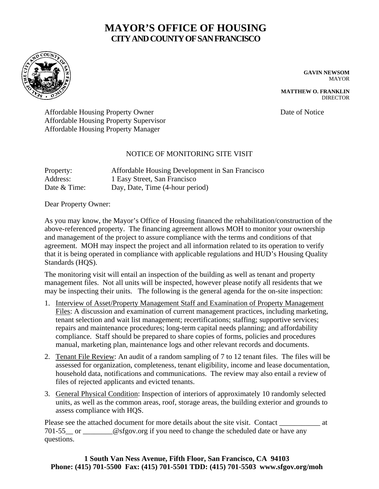# **MAYOR'S OFFICE OF HOUSING CITY AND COUNTY OF SAN FRANCISCO**



**GAVIN NEWSOM** MAYOR

**MATTHEW O. FRANKLIN** DIRECTOR

Affordable Housing Property Owner Date of Notice Affordable Housing Property Supervisor Affordable Housing Property Manager

## NOTICE OF MONITORING SITE VISIT

| Property:    | Affordable Housing Development in San Francisco |
|--------------|-------------------------------------------------|
| Address:     | 1 Easy Street, San Francisco                    |
| Date & Time: | Day, Date, Time (4-hour period)                 |

Dear Property Owner:

As you may know, the Mayor's Office of Housing financed the rehabilitation/construction of the above-referenced property. The financing agreement allows MOH to monitor your ownership and management of the project to assure compliance with the terms and conditions of that agreement. MOH may inspect the project and all information related to its operation to verify that it is being operated in compliance with applicable regulations and HUD's Housing Quality Standards (HOS).

The monitoring visit will entail an inspection of the building as well as tenant and property management files. Not all units will be inspected, however please notify all residents that we may be inspecting their units. The following is the general agenda for the on-site inspection:

- 1. Interview of Asset/Property Management Staff and Examination of Property Management Files: A discussion and examination of current management practices, including marketing, tenant selection and wait list management; recertifications; staffing; supportive services; repairs and maintenance procedures; long-term capital needs planning; and affordability compliance. Staff should be prepared to share copies of forms, policies and procedures manual, marketing plan, maintenance logs and other relevant records and documents.
- 2. Tenant File Review: An audit of a random sampling of 7 to 12 tenant files. The files will be assessed for organization, completeness, tenant eligibility, income and lease documentation, household data, notifications and communications. The review may also entail a review of files of rejected applicants and evicted tenants.
- 3. General Physical Condition: Inspection of interiors of approximately 10 randomly selected units, as well as the common areas, roof, storage areas, the building exterior and grounds to assess compliance with HQS.

Please see the attached document for more details about the site visit. Contact \_\_\_\_\_\_\_\_\_\_\_\_ at 701-55\_\_ or \_\_\_\_\_\_\_\_@sfgov.org if you need to change the scheduled date or have any questions.

# **1 South Van Ness Avenue, Fifth Floor, San Francisco, CA 94103 Phone: (415) 701-5500 Fax: (415) 701-5501 TDD: (415) 701-5503 www.sfgov.org/moh**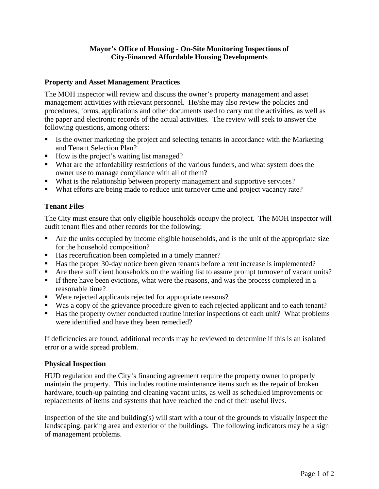# **Mayor's Office of Housing - On-Site Monitoring Inspections of City-Financed Affordable Housing Developments**

#### **Property and Asset Management Practices**

The MOH inspector will review and discuss the owner's property management and asset management activities with relevant personnel. He/she may also review the policies and procedures, forms, applications and other documents used to carry out the activities, as well as the paper and electronic records of the actual activities. The review will seek to answer the following questions, among others:

- Is the owner marketing the project and selecting tenants in accordance with the Marketing and Tenant Selection Plan?
- How is the project's waiting list managed?
- What are the affordability restrictions of the various funders, and what system does the owner use to manage compliance with all of them?
- What is the relationship between property management and supportive services?
- What efforts are being made to reduce unit turnover time and project vacancy rate?

## **Tenant Files**

The City must ensure that only eligible households occupy the project. The MOH inspector will audit tenant files and other records for the following:

- Are the units occupied by income eligible households, and is the unit of the appropriate size for the household composition?
- Has recertification been completed in a timely manner?
- Has the proper 30-day notice been given tenants before a rent increase is implemented?
- Are there sufficient households on the waiting list to assure prompt turnover of vacant units?
- If there have been evictions, what were the reasons, and was the process completed in a reasonable time?
- Were rejected applicants rejected for appropriate reasons?
- Was a copy of the grievance procedure given to each rejected applicant and to each tenant?
- Has the property owner conducted routine interior inspections of each unit? What problems were identified and have they been remedied?

If deficiencies are found, additional records may be reviewed to determine if this is an isolated error or a wide spread problem.

#### **Physical Inspection**

HUD regulation and the City's financing agreement require the property owner to properly maintain the property. This includes routine maintenance items such as the repair of broken hardware, touch-up painting and cleaning vacant units, as well as scheduled improvements or replacements of items and systems that have reached the end of their useful lives.

Inspection of the site and building(s) will start with a tour of the grounds to visually inspect the landscaping, parking area and exterior of the buildings. The following indicators may be a sign of management problems.